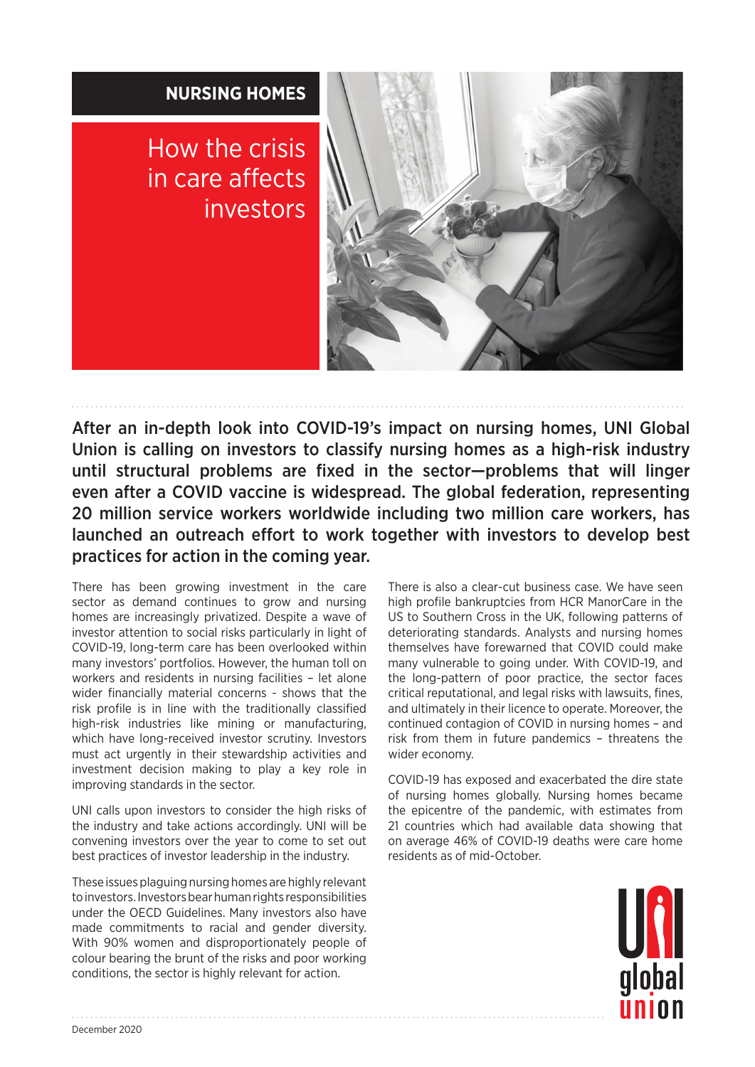

After an in-depth look into COVID-19's impact on nursing homes, UNI Global Union is calling on investors to classify nursing homes as a high-risk industry until structural problems are fixed in the sector—problems that will linger even after a COVID vaccine is widespread. The global federation, representing 20 million service workers worldwide including two million care workers, has launched an outreach effort to work together with investors to develop best practices for action in the coming year.

There has been growing investment in the care sector as demand continues to grow and nursing homes are increasingly privatized. Despite a wave of investor attention to social risks particularly in light of COVID-19, long-term care has been overlooked within many investors' portfolios. However, the human toll on workers and residents in nursing facilities – let alone wider financially material concerns - shows that the risk profile is in line with the traditionally classified high-risk industries like mining or manufacturing, which have long-received investor scrutiny. Investors must act urgently in their stewardship activities and investment decision making to play a key role in improving standards in the sector.

UNI calls upon investors to consider the high risks of the industry and take actions accordingly. UNI will be convening investors over the year to come to set out best practices of investor leadership in the industry.

These issues plaguing nursing homes are highly relevant to investors. Investors bear human rights responsibilities under the OECD Guidelines. Many investors also have made commitments to racial and gender diversity. With 90% women and disproportionately people of colour bearing the brunt of the risks and poor working conditions, the sector is highly relevant for action.

There is also a clear-cut business case. We have seen high profile bankruptcies from HCR ManorCare in the US to Southern Cross in the UK, following patterns of deteriorating standards. Analysts and nursing homes themselves have forewarned that COVID could make many vulnerable to going under. With COVID-19, and the long-pattern of poor practice, the sector faces critical reputational, and legal risks with lawsuits, fines, and ultimately in their licence to operate. Moreover, the continued contagion of COVID in nursing homes – and risk from them in future pandemics – threatens the wider economy.

COVID-19 has exposed and exacerbated the dire state of nursing homes globally. Nursing homes became the epicentre of the pandemic, with estimates from 21 countries which had available data showing that on average 46% of COVID-19 deaths were care home residents as of mid-October.